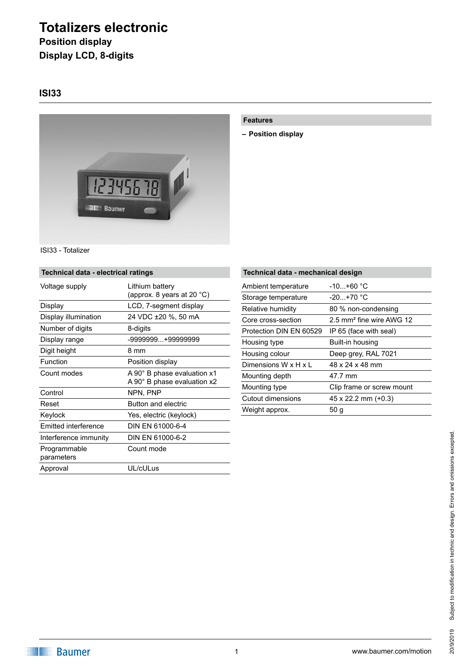# **Totalizers electronic**

**Position display Display LCD, 8-digits**

## **ISI33**



#### **Features**

**– Position display**

ISI33 - Totalizer

#### **Technical data - electrical ratings**

| Voltage supply             | Lithium battery<br>(approx. 8 years at 20 $^{\circ}$ C)    |
|----------------------------|------------------------------------------------------------|
| Display                    | LCD, 7-segment display                                     |
| Display illumination       | 24 VDC ±20 %, 50 mA                                        |
| Number of digits           | 8-digits                                                   |
| Display range              | -9999999+99999999                                          |
| Digit height               | 8 mm                                                       |
| Function                   | Position display                                           |
| Count modes                | A 90° B phase evaluation x1<br>A 90° B phase evaluation x2 |
| Control                    | NPN, PNP                                                   |
| Reset                      | Button and electric                                        |
| Keylock                    | Yes, electric (keylock)                                    |
| Emitted interference       | DIN EN 61000-6-4                                           |
| Interference immunity      | DIN EN 61000-6-2                                           |
| Programmable<br>parameters | Count mode                                                 |
| Approval                   | UL/cULus                                                   |

| Technical data - mechanical design |                                      |  |
|------------------------------------|--------------------------------------|--|
| Ambient temperature                | $-10+60$ °C                          |  |
| Storage temperature                | $-20. +70$ °C                        |  |
| Relative humidity                  | 80 % non-condensing                  |  |
| Core cross-section                 | 2.5 mm <sup>2</sup> fine wire AWG 12 |  |
| Protection DIN EN 60529            | IP 65 (face with seal)               |  |
| Housing type                       | Built-in housing                     |  |
| Housing colour                     | Deep grey, RAL 7021                  |  |
| Dimensions W x H x L               | 48 x 24 x 48 mm                      |  |
| Mounting depth                     | 47.7 mm                              |  |
| Mounting type                      | Clip frame or screw mount            |  |
| Cutout dimensions                  | $45 \times 22.2$ mm $(+0.3)$         |  |
| Weight approx.                     | 50 g                                 |  |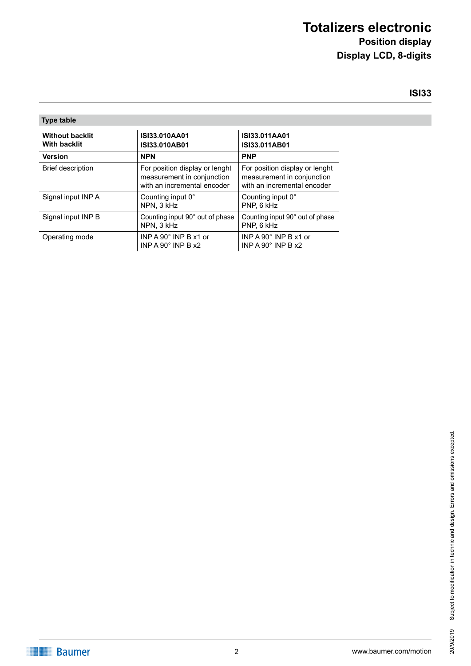# **Totalizers electronic Position display**

**Display LCD, 8-digits**

# **ISI33**

| <b>Type table</b>                             |                                                                                             |                                                                                             |  |
|-----------------------------------------------|---------------------------------------------------------------------------------------------|---------------------------------------------------------------------------------------------|--|
| <b>Without backlit</b><br><b>With backlit</b> | ISI33.010AA01<br>ISI33.010AB01                                                              | ISI33.011AA01<br>ISI33.011AB01                                                              |  |
| <b>Version</b>                                | <b>NPN</b>                                                                                  | <b>PNP</b>                                                                                  |  |
| <b>Brief description</b>                      | For position display or lenght<br>measurement in conjunction<br>with an incremental encoder | For position display or lenght<br>measurement in conjunction<br>with an incremental encoder |  |
| Signal input INP A                            | Counting input 0°<br>NPN. 3 kHz                                                             | Counting input 0°<br>PNP. 6 kHz                                                             |  |
| Signal input INP B                            | Counting input 90° out of phase<br>NPN. 3 kHz                                               | Counting input 90° out of phase<br>PNP. 6 kHz                                               |  |
| Operating mode                                | INP A 90 $^{\circ}$ INP B x1 or<br>INP A 90 $^{\circ}$ INP B $x2$                           | INP A 90 $^{\circ}$ INP B x1 or<br>INP A 90 $^{\circ}$ INP B $\times$ 2                     |  |

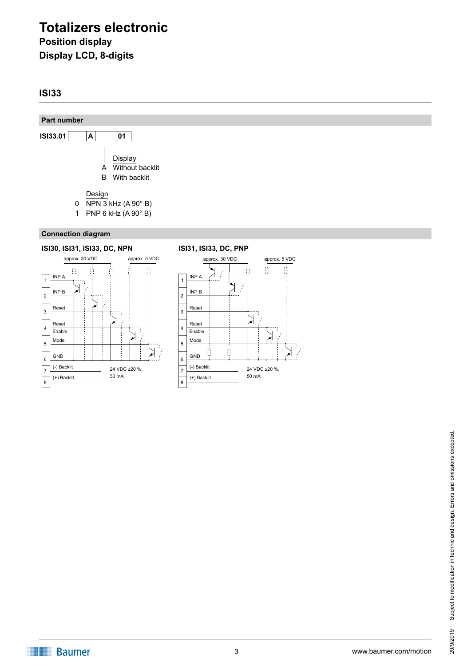# **Totalizers electronic Position display Display LCD, 8-digits**

## **ISI33**

#### **Part number**



#### **Connection diagram**



# Subject to modification in technic and design. Errors and omissions excepted. Subject to modification in technic and design. Errors and omissions excepted. 20/9/2019 20/9/2019